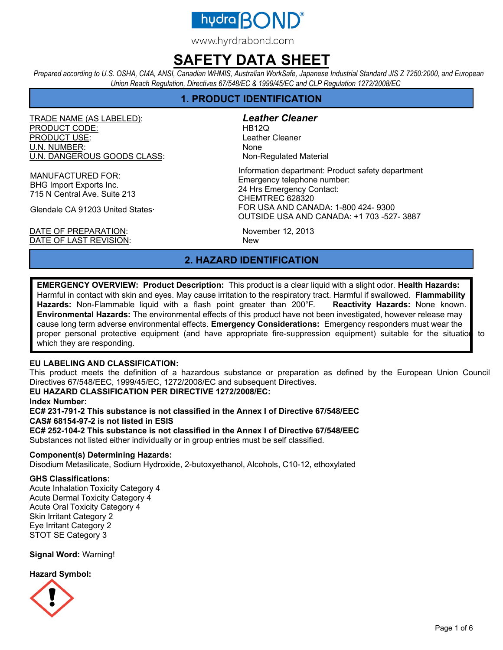

www.hyrdrabond.com

## **SAFETY DATA SHEET**

*Prepared according to U.S. OSHA, CMA, ANSI, Canadian WHMIS, Australian WorkSafe, Japanese Industrial Standard JIS Z 7250:2000, and European Union Reach Regulation, Directives 67/548/EC & 1999/45/EC and CLP Regulation 1272/2008/EC* 

## **1. PRODUCT IDENTIFICATION**

TRADE NAME (AS LABELED): *Leather Cleaner* PRODUCT CODE: HB12Q PRODUCT USE: Leather Cleaner U.N. NUMBER: None U.N. DANGEROUS GOODS CLASS: Non-Regulated Material

MANUFACTURED FOR: BHG Import Exports Inc. 715 N Central Ave. Suite 213

Glendale CA 91203 United States·

DATE OF PREPARATION: November 12, 2013 DATE OF LAST REVISION: New

Information department: Product safety department Emergency telephone number: 24 Hrs Emergency Contact: CHEMTREC 628320 FOR USA AND CANADA: 1-800 424- 9300 OUTSIDE USA AND CANADA: +1 703 -527- 3887

## **2. HAZARD IDENTIFICATION**

**EMERGENCY OVERVIEW: Product Description:** This product is a clear liquid with a slight odor. **Health Hazards:**  Harmful in contact with skin and eyes. May cause irritation to the respiratory tract. Harmful if swallowed. **Flammability Hazards:** Non-Flammable liquid with a flash point greater than 200°F. **Reactivity Hazards:** None known. **Environmental Hazards:** The environmental effects of this product have not been investigated, however release may cause long term adverse environmental effects. **Emergency Considerations:** Emergency responders must wear the proper personal protective equipment (and have appropriate fire-suppression equipment) suitable for the situation to which they are responding.

### **EU LABELING AND CLASSIFICATION:**

This product meets the definition of a hazardous substance or preparation as defined by the European Union Council Directives 67/548/EEC, 1999/45/EC, 1272/2008/EC and subsequent Directives.

#### **EU HAZARD CLASSIFICATION PER DIRECTIVE 1272/2008/EC:**

**Index Number:** 

**EC# 231-791-2 This substance is not classified in the Annex I of Directive 67/548/EEC CAS# 68154-97-2 is not listed in ESIS** 

**EC# 252-104-2 This substance is not classified in the Annex I of Directive 67/548/EEC** 

Substances not listed either individually or in group entries must be self classified.

#### **Component(s) Determining Hazards:**

Disodium Metasilicate, Sodium Hydroxide, 2-butoxyethanol, Alcohols, C10-12, ethoxylated

#### **GHS Classifications:**

Acute Inhalation Toxicity Category 4 Acute Dermal Toxicity Category 4 Acute Oral Toxicity Category 4 Skin Irritant Category 2 Eye Irritant Category 2 STOT SE Category 3

**Signal Word:** Warning!

**Hazard Symbol:** 

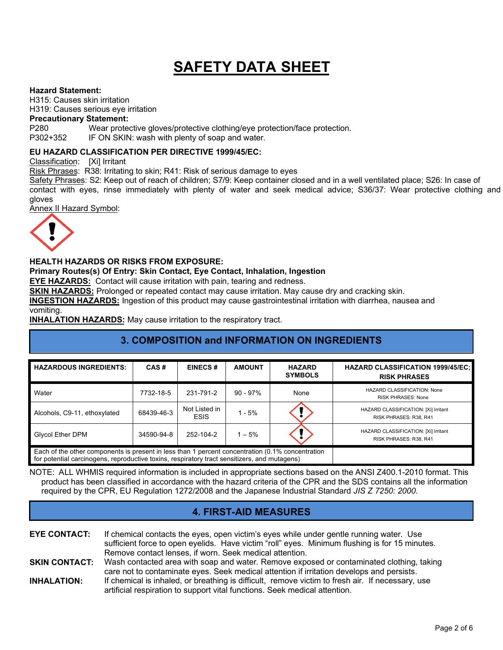#### **Hazard Statement:**

H315: Causes skin irritation

H319: Causes serious eye irritation

#### **Precautionary Statement:**

P280 Wear protective gloves/protective clothing/eye protection/face protection.

P302+352 IF ON SKIN: wash with plenty of soap and water.

#### **EU HAZARD CLASSIFICATION PER DIRECTIVE 1999/45/EC:**

Classification: [Xi] Irritant

Risk Phrases: R38: Irritating to skin; R41: Risk of serious damage to eyes

Safety Phrases: S2: Keep out of reach of children; S7/9: Keep container closed and in a well ventilated place; S26: In case of contact with eyes, rinse immediately with plenty of water and seek medical advice; S36/37: Wear protective clothing and gloves

Annex II Hazard Symbol:



#### **HEALTH HAZARDS OR RISKS FROM EXPOSURE:**

**Primary Routes(s) Of Entry: Skin Contact, Eye Contact, Inhalation, Ingestion** 

**EYE HAZARDS:** Contact will cause irritation with pain, tearing and redness.

**SKIN HAZARDS:** Prolonged or repeated contact may cause irritation. May cause dry and cracking skin.

**INGESTION HAZARDS:** Ingestion of this product may cause gastrointestinal irritation with diarrhea, nausea and vomiting.

**INHALATION HAZARDS:** May cause irritation to the respiratory tract.

## **3. COMPOSITION and INFORMATION ON INGREDIENTS**

| <b>HAZARDOUS INGREDIENTS:</b>                                                                                                                                                                    | CAS#       | <b>EINECS#</b>               | <b>AMOUNT</b> | <b>HAZARD</b><br><b>SYMBOLS</b> | <b>HAZARD CLASSIFICATION 1999/45/EC;</b><br><b>RISK PHRASES</b> |
|--------------------------------------------------------------------------------------------------------------------------------------------------------------------------------------------------|------------|------------------------------|---------------|---------------------------------|-----------------------------------------------------------------|
| Water                                                                                                                                                                                            | 7732-18-5  | 231-791-2                    | $90 - 97\%$   | None                            | HAZARD CLASSIFICATION: None<br><b>RISK PHRASES: None</b>        |
| Alcohols, C9-11, ethoxylated                                                                                                                                                                     | 68439-46-3 | Not Listed in<br><b>ESIS</b> | $1 - 5%$      |                                 | HAZARD CLASSIFICATION: [Xi] Irritant<br>RISK PHRASES: R38, R41  |
| <b>Glycol Ether DPM</b>                                                                                                                                                                          | 34590-94-8 | 252-104-2                    | $1 - 5%$      |                                 | HAZARD CLASSIFICATION: [Xi] Irritant<br>RISK PHRASES: R38, R41  |
| Each of the other components is present in less than 1 percent concentration (0.1% concentration<br>for potential carcinogens, reproductive toxins, respiratory tract sensitizers, and mutagens) |            |                              |               |                                 |                                                                 |

NOTE: ALL WHMIS required information is included in appropriate sections based on the ANSI Z400.1-2010 format. This product has been classified in accordance with the hazard criteria of the CPR and the SDS contains all the information required by the CPR, EU Regulation 1272/2008 and the Japanese Industrial Standard *JIS Z 7250: 2000*.

## **4. FIRST-AID MEASURES**

**EYE CONTACT:** If chemical contacts the eyes, open victim's eyes while under gentle running water. Use sufficient force to open eyelids. Have victim "roll" eyes. Minimum flushing is for 15 minutes. Remove contact lenses, if worn. Seek medical attention. **SKIN CONTACT:** Wash contacted area with soap and water. Remove exposed or contaminated clothing, taking care not to contaminate eyes. Seek medical attention if irritation develops and persists. **INHALATION:** If chemical is inhaled, or breathing is difficult, remove victim to fresh air. If necessary, use

artificial respiration to support vital functions. Seek medical attention.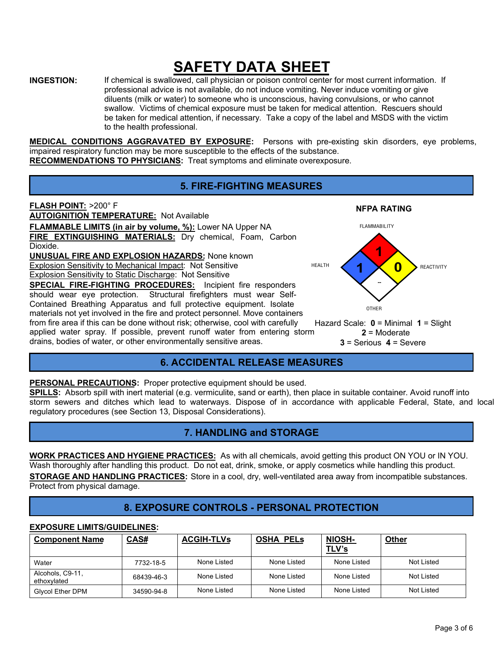**INGESTION:** If chemical is swallowed, call physician or poison control center for most current information. If professional advice is not available, do not induce vomiting. Never induce vomiting or give diluents (milk or water) to someone who is unconscious, having convulsions, or who cannot swallow. Victims of chemical exposure must be taken for medical attention. Rescuers should be taken for medical attention, if necessary. Take a copy of the label and MSDS with the victim to the health professional.

**MEDICAL CONDITIONS AGGRAVATED BY EXPOSURE:** Persons with pre-existing skin disorders, eye problems, impaired respiratory function may be more susceptible to the effects of the substance.

## **RECOMMENDATIONS TO PHYSICIANS:** Treat symptoms and eliminate overexposure.

## **5. FIRE-FIGHTING MEASURES**



applied water spray. If possible, prevent runoff water from entering storm drains, bodies of water, or other environmentally sensitive areas.

## **6. ACCIDENTAL RELEASE MEASURES**

**PERSONAL PRECAUTIONS:** Proper protective equipment should be used.

**SPILLS:** Absorb spill with inert material (e.g. vermiculite, sand or earth), then place in suitable container. Avoid runoff into storm sewers and ditches which lead to waterways. Dispose of in accordance with applicable Federal, State, and local regulatory procedures (see Section 13, Disposal Considerations).

## **7. HANDLING and STORAGE**

**WORK PRACTICES AND HYGIENE PRACTICES:** As with all chemicals, avoid getting this product ON YOU or IN YOU. Wash thoroughly after handling this product. Do not eat, drink, smoke, or apply cosmetics while handling this product. **STORAGE AND HANDLING PRACTICES:** Store in a cool, dry, well-ventilated area away from incompatible substances. Protect from physical damage.

## **8. EXPOSURE CONTROLS - PERSONAL PROTECTION**

#### **EXPOSURE LIMITS/GUIDELINES:**  Component Name CAS# ACGIH-TLVs | OSHA PELs | NIOSH-**TLV's Other**  Water 7732-18-5 None Listed None Listed Not Listed Alcohols, C9-11,<br>ethoxylated Alcohols, C9-11, 68439-46-3 None Listed None Listed None Listed None Listed Not Listed<br>ethoxylated Not Listed Glycol Ether DPM 34590-94-8 None Listed None Listed None Listed Not Listed Not Listed

**3** = Serious **4** = Severe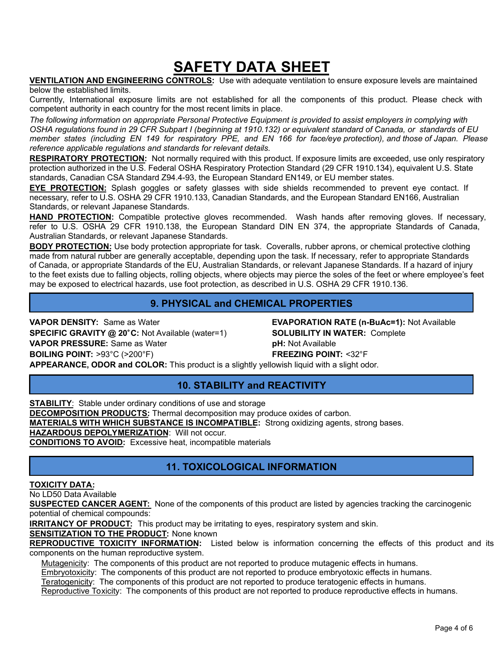**VENTILATION AND ENGINEERING CONTROLS:** Use with adequate ventilation to ensure exposure levels are maintained below the established limits.

Currently, International exposure limits are not established for all the components of this product. Please check with competent authority in each country for the most recent limits in place.

*The following information on appropriate Personal Protective Equipment is provided to assist employers in complying with OSHA regulations found in 29 CFR Subpart I (beginning at 1910.132) or equivalent standard of Canada, or standards of EU member states (including EN 149 for respiratory PPE, and EN 166 for face/eye protection), and those of Japan. Please reference applicable regulations and standards for relevant details.* 

**RESPIRATORY PROTECTION:** Not normally required with this product. If exposure limits are exceeded, use only respiratory protection authorized in the U.S. Federal OSHA Respiratory Protection Standard (29 CFR 1910.134), equivalent U.S. State standards, Canadian CSA Standard Z94.4-93, the European Standard EN149, or EU member states.

**EYE PROTECTION:** Splash goggles or safety glasses with side shields recommended to prevent eye contact. If necessary, refer to U.S. OSHA 29 CFR 1910.133, Canadian Standards, and the European Standard EN166, Australian Standards, or relevant Japanese Standards.

**HAND PROTECTION:** Compatible protective gloves recommended. Wash hands after removing gloves. If necessary, refer to U.S. OSHA 29 CFR 1910.138, the European Standard DIN EN 374, the appropriate Standards of Canada, Australian Standards, or relevant Japanese Standards.

**BODY PROTECTION:** Use body protection appropriate for task. Coveralls, rubber aprons, or chemical protective clothing made from natural rubber are generally acceptable, depending upon the task. If necessary, refer to appropriate Standards of Canada, or appropriate Standards of the EU, Australian Standards, or relevant Japanese Standards. If a hazard of injury to the feet exists due to falling objects, rolling objects, where objects may pierce the soles of the feet or where employee's feet may be exposed to electrical hazards, use foot protection, as described in U.S. OSHA 29 CFR 1910.136.

## **9. PHYSICAL and CHEMICAL PROPERTIES**

**VAPOR DENSITY:** Same as Water **EVAPORATION RATE (n-BuAc=1):** Not Available **SPECIFIC GRAVITY @ 20C:** Not Available (water=1) **SOLUBILITY IN WATER:** Complete **VAPOR PRESSURE:** Same as Water **pH:** Not Available **BOILING POINT:** >93°C (>200°F) **FREEZING POINT:** <32°F **APPEARANCE, ODOR and COLOR:** This product is a slightly yellowish liquid with a slight odor.

## **10. STABILITY and REACTIVITY**

**STABILITY**: Stable under ordinary conditions of use and storage **DECOMPOSITION PRODUCTS:** Thermal decomposition may produce oxides of carbon. **MATERIALS WITH WHICH SUBSTANCE IS INCOMPATIBLE:** Strong oxidizing agents, strong bases. **HAZARDOUS DEPOLYMERIZATION**: Will not occur. **CONDITIONS TO AVOID:** Excessive heat, incompatible materials

## **11. TOXICOLOGICAL INFORMATION**

#### **TOXICITY DATA:**

No LD50 Data Available

**SUSPECTED CANCER AGENT:** None of the components of this product are listed by agencies tracking the carcinogenic potential of chemical compounds:

**IRRITANCY OF PRODUCT:** This product may be irritating to eyes, respiratory system and skin.

**SENSITIZATION TO THE PRODUCT:** None known

**REPRODUCTIVE TOXICITY INFORMATION:** Listed below is information concerning the effects of this product and its components on the human reproductive system.

Mutagenicity: The components of this product are not reported to produce mutagenic effects in humans.

Embryotoxicity: The components of this product are not reported to produce embryotoxic effects in humans.

Teratogenicity: The components of this product are not reported to produce teratogenic effects in humans.

Reproductive Toxicity: The components of this product are not reported to produce reproductive effects in humans.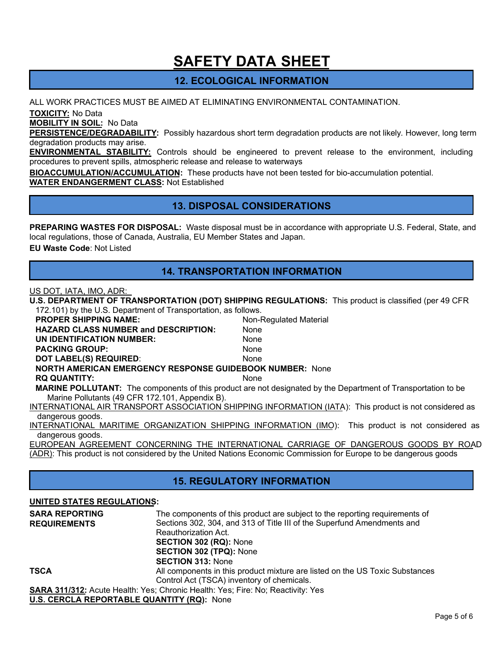## **12. ECOLOGICAL INFORMATION**

ALL WORK PRACTICES MUST BE AIMED AT ELIMINATING ENVIRONMENTAL CONTAMINATION.

**TOXICITY:** No Data

**MOBILITY IN SOIL:** No Data

**PERSISTENCE/DEGRADABILITY:** Possibly hazardous short term degradation products are not likely. However, long term degradation products may arise.

**ENVIRONMENTAL STABILITY:** Controls should be engineered to prevent release to the environment, including procedures to prevent spills, atmospheric release and release to waterways

**BIOACCUMULATION/ACCUMULATION:** These products have not been tested for bio-accumulation potential.

**WATER ENDANGERMENT CLASS:** Not Established

## **13. DISPOSAL CONSIDERATIONS**

**PREPARING WASTES FOR DISPOSAL:** Waste disposal must be in accordance with appropriate U.S. Federal, State, and local regulations, those of Canada, Australia, EU Member States and Japan.

**EU Waste Code**: Not Listed

### **14. TRANSPORTATION INFORMATION**

#### US DOT, IATA, IMO, ADR:

**U.S. DEPARTMENT OF TRANSPORTATION (DOT) SHIPPING REGULATIONS:** This product is classified (per 49 CFR 172.101) by the U.S. Department of Transportation, as follows.

| <b>PROPER SHIPPING NAME:</b>                                    | Non-Regulated Material                                                                                               |  |  |  |
|-----------------------------------------------------------------|----------------------------------------------------------------------------------------------------------------------|--|--|--|
| <b>HAZARD CLASS NUMBER and DESCRIPTION:</b>                     | <b>None</b>                                                                                                          |  |  |  |
| UN IDENTIFICATION NUMBER:                                       | None                                                                                                                 |  |  |  |
| <b>PACKING GROUP:</b>                                           | None                                                                                                                 |  |  |  |
| DOT LABEL(S) REQUIRED:                                          | None                                                                                                                 |  |  |  |
| <b>NORTH AMERICAN EMERGENCY RESPONSE GUIDEBOOK NUMBER: None</b> |                                                                                                                      |  |  |  |
| <b>RQ QUANTITY:</b>                                             | <b>None</b>                                                                                                          |  |  |  |
|                                                                 | <b>MARINE POLLUTANT:</b> The components of this product are not designated by the Department of Transportation to be |  |  |  |
| Marine Pollutants (49 CFR 172.101, Appendix B).                 |                                                                                                                      |  |  |  |
|                                                                 | INTERNATIONAL AIR TRANSPORT ASSOCIATION SHIPPING INFORMATION (IATA): This product is not considered as               |  |  |  |
| dangerous goods.                                                |                                                                                                                      |  |  |  |
|                                                                 | INTERNATIONAL MARITIME ORGANIZATION SHIPPING INFORMATION (IMO): This product is not considered as                    |  |  |  |
| dangerous goods.                                                |                                                                                                                      |  |  |  |

EUROPEAN AGREEMENT CONCERNING THE INTERNATIONAL CARRIAGE OF DANGEROUS GOODS BY ROAD (ADR): This product is not considered by the United Nations Economic Commission for Europe to be dangerous goods

## **15. REGULATORY INFORMATION**

#### **UNITED STATES REGULATIONS:**

| <b>SARA REPORTING</b><br><b>REQUIREMENTS</b>      | The components of this product are subject to the reporting requirements of<br>Sections 302, 304, and 313 of Title III of the Superfund Amendments and<br>Reauthorization Act. |
|---------------------------------------------------|--------------------------------------------------------------------------------------------------------------------------------------------------------------------------------|
|                                                   | <b>SECTION 302 (RQ): None</b>                                                                                                                                                  |
|                                                   | <b>SECTION 302 (TPQ): None</b>                                                                                                                                                 |
|                                                   | <b>SECTION 313: None</b>                                                                                                                                                       |
| <b>TSCA</b>                                       | All components in this product mixture are listed on the US Toxic Substances                                                                                                   |
|                                                   | Control Act (TSCA) inventory of chemicals.                                                                                                                                     |
|                                                   | <b>SARA 311/312:</b> Acute Health: Yes; Chronic Health: Yes; Fire: No; Reactivity: Yes                                                                                         |
| <b>U.S. CERCLA REPORTABLE QUANTITY (RQ): None</b> |                                                                                                                                                                                |